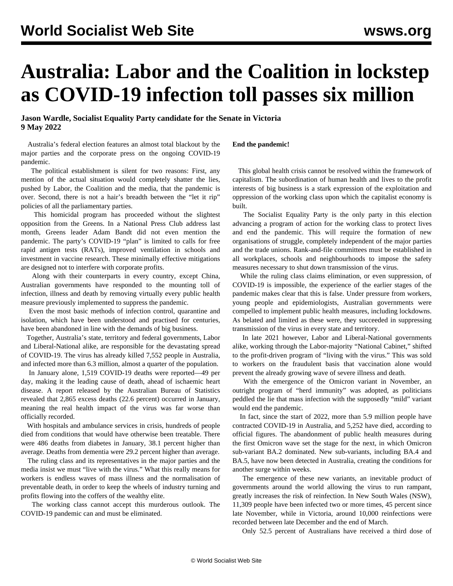# **Australia: Labor and the Coalition in lockstep as COVID-19 infection toll passes six million**

### **Jason Wardle, Socialist Equality Party candidate for the Senate in Victoria 9 May 2022**

 Australia's federal election features an almost total blackout by the major parties and the corporate press on the ongoing COVID-19 pandemic.

 The political establishment is silent for two reasons: First, any mention of the actual situation would completely shatter the lies, pushed by Labor, the Coalition and the media, that the pandemic is over. Second, there is not a hair's breadth between the "let it rip" policies of all the parliamentary parties.

 This homicidal program has proceeded without the slightest opposition from the Greens. In a National Press Club address last month, Greens leader Adam Bandt did not even mention the pandemic. The party's COVID-19 "plan" is limited to calls for free rapid antigen tests (RATs), improved ventilation in schools and investment in vaccine research. These minimally effective mitigations are designed not to interfere with corporate profits.

 Along with their counterparts in every country, except China, Australian governments have responded to the mounting toll of infection, illness and death by removing virtually every public health measure previously implemented to suppress the pandemic.

 Even the most basic methods of infection control, quarantine and isolation, which have been understood and practised for centuries, have been abandoned in line with the demands of big business.

 Together, Australia's state, territory and federal governments, Labor and Liberal-National alike, are responsible for the devastating spread of COVID-19. The virus has already killed 7,552 people in Australia, and infected more than 6.3 million, almost a quarter of the population.

 In January alone, 1,519 COVID-19 deaths were reported—49 per day, making it the leading cause of death, ahead of ischaemic heart disease. A report released by the Australian Bureau of Statistics revealed that 2,865 excess deaths (22.6 percent) occurred in January, meaning the real health impact of the virus was far worse than officially recorded.

 With hospitals and ambulance services in crisis, hundreds of people died from conditions that would have otherwise been treatable. There were 486 deaths from diabetes in January, 38.1 percent higher than average. Deaths from dementia were 29.2 percent higher than average.

 The ruling class and its representatives in the major parties and the media insist we must "live with the virus." What this really means for workers is endless waves of mass illness and the normalisation of preventable death, in order to keep the wheels of industry turning and profits flowing into the coffers of the wealthy elite.

 The working class cannot accept this murderous outlook. The COVID-19 pandemic can and must be eliminated.

**End the pandemic!**

 This global health crisis cannot be resolved within the framework of capitalism. The subordination of human health and lives to the profit interests of big business is a stark expression of the exploitation and oppression of the working class upon which the capitalist economy is built.

 The Socialist Equality Party is the only party in this election advancing a program of action for the working class to protect lives and end the pandemic. This will require the formation of new organisations of struggle, completely independent of the major parties and the trade unions. Rank-and-file committees must be established in all workplaces, schools and neighbourhoods to impose the safety measures necessary to shut down transmission of the virus.

 While the ruling class claims elimination, or even suppression, of COVID-19 is impossible, the experience of the earlier stages of the pandemic makes clear that this is false. Under pressure from workers, young people and epidemiologists, Australian governments were compelled to implement public health measures, including lockdowns. As belated and limited as these were, they succeeded in suppressing transmission of the virus in every state and territory.

 In late 2021 however, Labor and Liberal-National governments alike, working through the Labor-majority "National Cabinet," shifted to the profit-driven program of "living with the virus." This was sold to workers on the fraudulent basis that vaccination alone would prevent the already growing wave of severe illness and death.

 With the emergence of the Omicron variant in November, an outright program of "herd immunity" was adopted, as politicians peddled the lie that mass infection with the supposedly "mild" variant would end the pandemic.

 In fact, since the start of 2022, more than 5.9 million people have contracted COVID-19 in Australia, and 5,252 have died, according to official figures. The abandonment of public health measures during the first Omicron wave set the stage for the next, in which Omicron sub-variant BA.2 dominated. New sub-variants, including BA.4 and BA.5, have now been detected in Australia, creating the conditions for another surge within weeks.

 The emergence of these new variants, an inevitable product of governments around the world allowing the virus to run rampant, greatly increases the risk of reinfection. In New South Wales (NSW), 11,309 people have been infected two or more times, 45 percent since late November, while in Victoria, around 10,000 reinfections were recorded between late December and the end of March.

Only 52.5 percent of Australians have received a third dose of